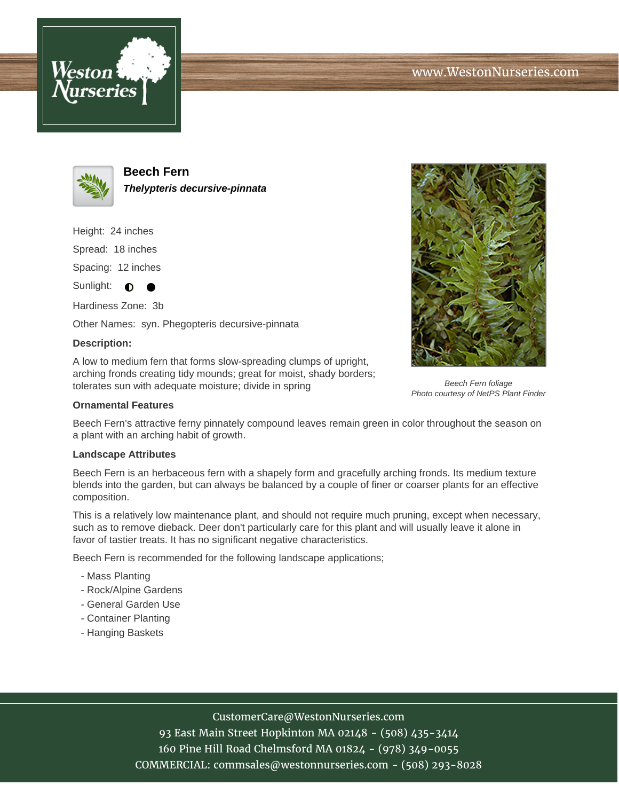



**Beech Fern Thelypteris decursive-pinnata**

Height: 24 inches

Spread: 18 inches

Spacing: 12 inches

Sunlight:  $\bullet$ ●

Hardiness Zone: 3b

Other Names: syn. Phegopteris decursive-pinnata

### **Description:**

A low to medium fern that forms slow-spreading clumps of upright, arching fronds creating tidy mounds; great for moist, shady borders; tolerates sun with adequate moisture; divide in spring

### **Ornamental Features**

Beech Fern's attractive ferny pinnately compound leaves remain green in color throughout the season on a plant with an arching habit of growth.

### **Landscape Attributes**

Beech Fern is an herbaceous fern with a shapely form and gracefully arching fronds. Its medium texture blends into the garden, but can always be balanced by a couple of finer or coarser plants for an effective composition.

This is a relatively low maintenance plant, and should not require much pruning, except when necessary, such as to remove dieback. Deer don't particularly care for this plant and will usually leave it alone in favor of tastier treats. It has no significant negative characteristics.

Beech Fern is recommended for the following landscape applications;

- Mass Planting
- Rock/Alpine Gardens
- General Garden Use
- Container Planting
- Hanging Baskets

# CustomerCare@WestonNurseries.com

93 East Main Street Hopkinton MA 02148 - (508) 435-3414 160 Pine Hill Road Chelmsford MA 01824 - (978) 349-0055 COMMERCIAL: commsales@westonnurseries.com - (508) 293-8028



Beech Fern foliage Photo courtesy of NetPS Plant Finder